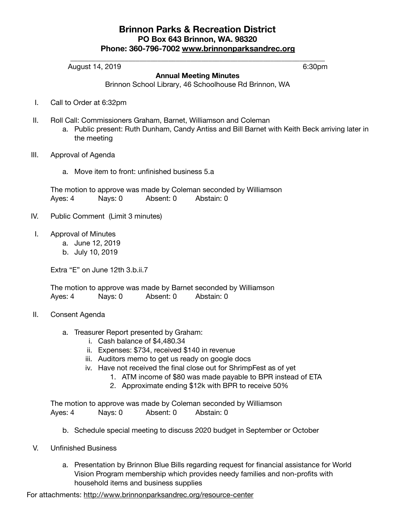## **Brinnon Parks & Recreation District PO Box 643 Brinnon, WA. 98320 Phone: 360-796-7002 [www.brinnonparksandrec.org](http://www.brinnonparksandrec.org/)**

\_\_\_\_\_\_\_\_\_\_\_\_\_\_\_\_\_\_\_\_\_\_\_\_\_\_\_\_\_\_\_\_\_\_\_\_\_\_\_\_\_\_\_\_\_\_\_\_\_\_\_\_\_\_\_\_\_\_\_\_\_\_\_\_\_\_\_\_\_\_

**Annual Meeting Minutes**  Brinnon School Library, 46 Schoolhouse Rd Brinnon, WA

| Ш.   | Roll Call: Commissioners Graham, Barnet, Williamson and Coleman<br>a. Public present: Ruth Dunham, Candy Antiss and Bill Barnet with Keith Beck arriving later in<br>the meeting |         |           |            |
|------|----------------------------------------------------------------------------------------------------------------------------------------------------------------------------------|---------|-----------|------------|
| III. | Approval of Agenda                                                                                                                                                               |         |           |            |
|      | a. Move item to front: unfinished business 5.a                                                                                                                                   |         |           |            |
|      | The motion to approve was made by Coleman seconded by Williamson                                                                                                                 |         |           |            |
|      | Ayes: 4                                                                                                                                                                          | Nays: 0 | Absent: 0 | Abstain: 0 |
| IV.  | Public Comment (Limit 3 minutes)                                                                                                                                                 |         |           |            |

I. Approval of Minutes

I. Call to Order at 6:32pm

- a. June 12, 2019
- b. July 10, 2019

Extra "E" on June 12th 3.b.ii.7

The motion to approve was made by Barnet seconded by Williamson Ayes: 4 Nays: 0 Absent: 0 Abstain: 0

- II. Consent Agenda
	- a. Treasurer Report presented by Graham:
		- i. Cash balance of \$4,480.34
		- ii. Expenses: \$734, received \$140 in revenue
		- iii. Auditors memo to get us ready on google docs
		- iv. Have not received the final close out for ShrimpFest as of yet
			- 1. ATM income of \$80 was made payable to BPR instead of ETA
			- 2. Approximate ending \$12k with BPR to receive 50%

The motion to approve was made by Coleman seconded by Williamson Ayes: 4 Nays: 0 Absent: 0 Abstain: 0

- b. Schedule special meeting to discuss 2020 budget in September or October
- V. Unfinished Business
	- a. Presentation by Brinnon Blue Bills regarding request for financial assistance for World Vision Program membership which provides needy families and non-profits with household items and business supplies

For attachments: <http://www.brinnonparksandrec.org/resource-center>

August 14, 2019 **6:30pm**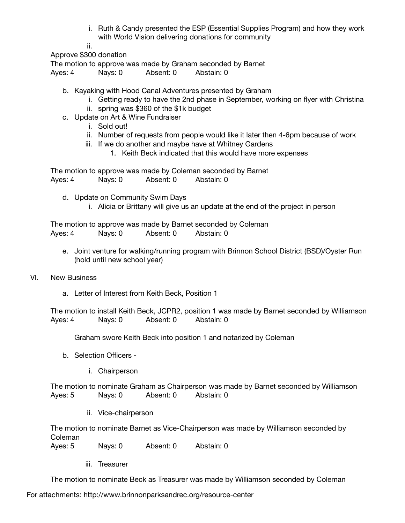- i. Ruth & Candy presented the ESP (Essential Supplies Program) and how they work with World Vision delivering donations for community
- ii.

Approve \$300 donation

The motion to approve was made by Graham seconded by Barnet

Ayes: 4 Nays: 0 Absent: 0 Abstain: 0

- b. Kayaking with Hood Canal Adventures presented by Graham
	- i. Getting ready to have the 2nd phase in September, working on flyer with Christina
	- ii. spring was \$360 of the \$1k budget
- c. Update on Art & Wine Fundraiser
	- i. Sold out!
	- ii. Number of requests from people would like it later then 4-6pm because of work
	- iii. If we do another and maybe have at Whitney Gardens
		- 1. Keith Beck indicated that this would have more expenses

The motion to approve was made by Coleman seconded by Barnet Ayes: 4 Nays: 0 Absent: 0 Abstain: 0

- d. Update on Community Swim Days
	- i. Alicia or Brittany will give us an update at the end of the project in person

The motion to approve was made by Barnet seconded by Coleman Ayes: 4 Nays: 0 Absent: 0 Abstain: 0

- e. Joint venture for walking/running program with Brinnon School District (BSD)/Oyster Run (hold until new school year)
- VI. New Business
	- a. Letter of Interest from Keith Beck, Position 1

The motion to install Keith Beck, JCPR2, position 1 was made by Barnet seconded by Williamson Ayes: 4 Nays: 0 Absent: 0 Abstain: 0

Graham swore Keith Beck into position 1 and notarized by Coleman

- b. Selection Officers
	- i. Chairperson

The motion to nominate Graham as Chairperson was made by Barnet seconded by Williamson Ayes: 5 Nays: 0 Absent: 0 Abstain: 0

ii. Vice-chairperson

The motion to nominate Barnet as Vice-Chairperson was made by Williamson seconded by Coleman

Ayes: 5 Nays: 0 Absent: 0 Abstain: 0

iii. Treasurer

The motion to nominate Beck as Treasurer was made by Williamson seconded by Coleman

For attachments: <http://www.brinnonparksandrec.org/resource-center>